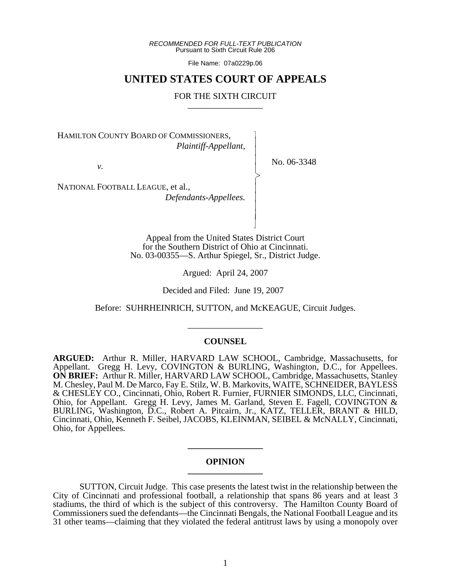*RECOMMENDED FOR FULL-TEXT PUBLICATION* Pursuant to Sixth Circuit Rule 206

File Name: 07a0229p.06

# **UNITED STATES COURT OF APPEALS**

# FOR THE SIXTH CIRCUIT

 $\overline{\phantom{a}}$ - - - -  $\succ$ |<br>|<br>| - - - - N

HAMILTON COUNTY BOARD OF COMMISSIONERS, *Plaintiff-Appellant,*

*v.*

No. 06-3348

NATIONAL FOOTBALL LEAGUE, et al., *Defendants-Appellees.*

> Appeal from the United States District Court for the Southern District of Ohio at Cincinnati. No. 03-00355—S. Arthur Spiegel, Sr., District Judge.

> > Argued: April 24, 2007

Decided and Filed: June 19, 2007

Before: SUHRHEINRICH, SUTTON, and McKEAGUE, Circuit Judges.

\_\_\_\_\_\_\_\_\_\_\_\_\_\_\_\_\_

# **COUNSEL**

**ARGUED:** Arthur R. Miller, HARVARD LAW SCHOOL, Cambridge, Massachusetts, for Appellant. Gregg H. Levy, COVINGTON & BURLING, Washington, D.C., for Appellees. **ON BRIEF:** Arthur R. Miller, HARVARD LAW SCHOOL, Cambridge, Massachusetts, Stanley M. Chesley, Paul M. De Marco, Fay E. Stilz, W. B. Markovits, WAITE, SCHNEIDER, BAYLESS & CHESLEY CO., Cincinnati, Ohio, Robert R. Furnier, FURNIER SIMONDS, LLC, Cincinnati, Ohio, for Appellant. Gregg H. Levy, James M. Garland, Steven E. Fagell, COVINGTON & BURLING, Washington, D.C., Robert A. Pitcairn, Jr., KATZ, TELLER, BRANT & HILD, Cincinnati, Ohio, Kenneth F. Seibel, JACOBS, KLEINMAN, SEIBEL & McNALLY, Cincinnati, Ohio, for Appellees.

# **OPINION \_\_\_\_\_\_\_\_\_\_\_\_\_\_\_\_\_**

**\_\_\_\_\_\_\_\_\_\_\_\_\_\_\_\_\_**

SUTTON, Circuit Judge. This case presents the latest twist in the relationship between the City of Cincinnati and professional football, a relationship that spans 86 years and at least 3 stadiums, the third of which is the subject of this controversy. The Hamilton County Board of Commissioners sued the defendants—the Cincinnati Bengals, the National Football League and its 31 other teams—claiming that they violated the federal antitrust laws by using a monopoly over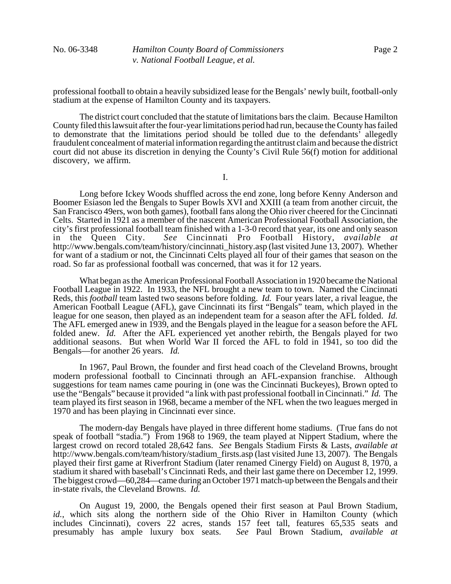No. 06-3348 *Hamilton County Board of Commissioners v. National Football League, et al.*

professional football to obtain a heavily subsidized lease for the Bengals' newly built, football-only stadium at the expense of Hamilton County and its taxpayers.

The district court concluded that the statute of limitations bars the claim. Because Hamilton County filed this lawsuit after the four-year limitations period had run, because the County has failed to demonstrate that the limitations period should be tolled due to the defendants' allegedly fraudulent concealment of material information regarding the antitrust claim and because the district court did not abuse its discretion in denying the County's Civil Rule 56(f) motion for additional discovery, we affirm.

I.

Long before Ickey Woods shuffled across the end zone, long before Kenny Anderson and Boomer Esiason led the Bengals to Super Bowls XVI and XXIII (a team from another circuit, the San Francisco 49ers, won both games), football fans along the Ohio river cheered for the Cincinnati Celts. Started in 1921 as a member of the nascent American Professional Football Association, the city's first professional football team finished with a 1-3-0 record that year, its one and only season in the Queen City. *See* Cincinnati Pro Football History, *available at* http://www.bengals.com/team/history/cincinnati history.asp (last visited June 13, 2007). Whether for want of a stadium or not, the Cincinnati Celts played all four of their games that season on the road. So far as professional football was concerned, that was it for 12 years.

What began as the American Professional Football Association in 1920 became the National Football League in 1922. In 1933, the NFL brought a new team to town. Named the Cincinnati Reds, this *football* team lasted two seasons before folding. *Id.* Four years later, a rival league, the American Football League (AFL), gave Cincinnati its first "Bengals" team, which played in the league for one season, then played as an independent team for a season after the AFL folded. *Id.* The AFL emerged anew in 1939, and the Bengals played in the league for a season before the AFL folded anew. *Id.* After the AFL experienced yet another rebirth, the Bengals played for two additional seasons. But when World War II forced the AFL to fold in 1941, so too did the Bengals—for another 26 years. *Id.* 

In 1967, Paul Brown, the founder and first head coach of the Cleveland Browns, brought modern professional football to Cincinnati through an AFL-expansion franchise. Although suggestions for team names came pouring in (one was the Cincinnati Buckeyes), Brown opted to use the "Bengals" because it provided "a link with past professional football in Cincinnati." *Id.* The team played its first season in 1968, became a member of the NFL when the two leagues merged in 1970 and has been playing in Cincinnati ever since.

The modern-day Bengals have played in three different home stadiums. (True fans do not speak of football "stadia.") From 1968 to 1969, the team played at Nippert Stadium, where the largest crowd on record totaled 28,642 fans. *See* Bengals Stadium Firsts & Lasts, *available at* http://www.bengals.com/team/history/stadium\_firsts.asp (last visited June 13, 2007). The Bengals played their first game at Riverfront Stadium (later renamed Cinergy Field) on August 8, 1970, a stadium it shared with baseball's Cincinnati Reds, and their last game there on December 12, 1999. The biggest crowd—60,284—came during an October 1971 match-up between the Bengals and their in-state rivals, the Cleveland Browns. *Id.*

On August 19, 2000, the Bengals opened their first season at Paul Brown Stadium, *id.*, which sits along the northern side of the Ohio River in Hamilton County (which includes Cincinnati), covers 22 acres, stands 157 feet tall, features 65,535 seats and presumably has ample luxury box seats. *See* Paul Brown Stadium, *available at*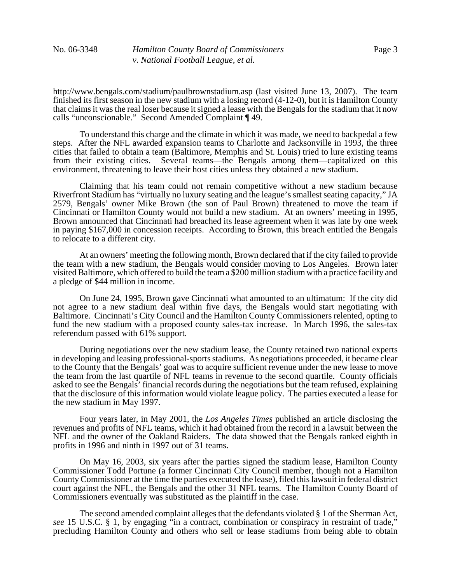http://www.bengals.com/stadium/paulbrownstadium.asp (last visited June 13, 2007). The team finished its first season in the new stadium with a losing record (4-12-0), but it is Hamilton County that claims it was the real loser because it signed a lease with the Bengals for the stadium that it now calls "unconscionable." Second Amended Complaint ¶ 49.

To understand this charge and the climate in which it was made, we need to backpedal a few steps. After the NFL awarded expansion teams to Charlotte and Jacksonville in 1993, the three cities that failed to obtain a team (Baltimore, Memphis and St. Louis) tried to lure existing teams from their existing cities. Several teams—the Bengals among them—capitalized on this environment, threatening to leave their host cities unless they obtained a new stadium.

Claiming that his team could not remain competitive without a new stadium because Riverfront Stadium has "virtually no luxury seating and the league's smallest seating capacity," JA 2579, Bengals' owner Mike Brown (the son of Paul Brown) threatened to move the team if Cincinnati or Hamilton County would not build a new stadium. At an owners' meeting in 1995, Brown announced that Cincinnati had breached its lease agreement when it was late by one week in paying \$167,000 in concession receipts. According to Brown, this breach entitled the Bengals to relocate to a different city.

At an owners' meeting the following month, Brown declared that if the city failed to provide the team with a new stadium, the Bengals would consider moving to Los Angeles. Brown later visited Baltimore, which offered to build the team a \$200 million stadium with a practice facility and a pledge of \$44 million in income.

On June 24, 1995, Brown gave Cincinnati what amounted to an ultimatum: If the city did not agree to a new stadium deal within five days, the Bengals would start negotiating with Baltimore. Cincinnati's City Council and the Hamilton County Commissioners relented, opting to fund the new stadium with a proposed county sales-tax increase. In March 1996, the sales-tax referendum passed with 61% support.

During negotiations over the new stadium lease, the County retained two national experts in developing and leasing professional-sports stadiums. As negotiations proceeded, it became clear to the County that the Bengals' goal was to acquire sufficient revenue under the new lease to move the team from the last quartile of NFL teams in revenue to the second quartile. County officials asked to see the Bengals' financial records during the negotiations but the team refused, explaining that the disclosure of this information would violate league policy. The parties executed a lease for the new stadium in May 1997.

Four years later, in May 2001, the *Los Angeles Times* published an article disclosing the revenues and profits of NFL teams, which it had obtained from the record in a lawsuit between the NFL and the owner of the Oakland Raiders. The data showed that the Bengals ranked eighth in profits in 1996 and ninth in 1997 out of 31 teams.

On May 16, 2003, six years after the parties signed the stadium lease, Hamilton County Commissioner Todd Portune (a former Cincinnati City Council member, though not a Hamilton County Commissioner at the time the parties executed the lease), filed this lawsuit in federal district court against the NFL, the Bengals and the other 31 NFL teams. The Hamilton County Board of Commissioners eventually was substituted as the plaintiff in the case.

The second amended complaint alleges that the defendants violated § 1 of the Sherman Act, *see* 15 U.S.C. § 1, by engaging "in a contract, combination or conspiracy in restraint of trade," precluding Hamilton County and others who sell or lease stadiums from being able to obtain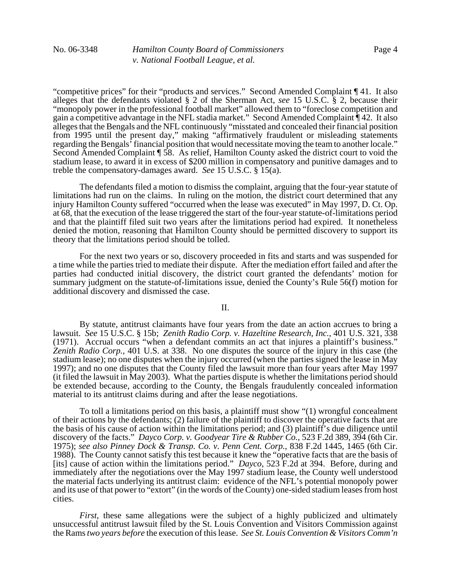"competitive prices" for their "products and services." Second Amended Complaint ¶ 41. It also alleges that the defendants violated § 2 of the Sherman Act, *see* 15 U.S.C. § 2, because their "monopoly power in the professional football market" allowed them to "foreclose competition and gain a competitive advantage in the NFL stadia market." Second Amended Complaint ¶ 42. It also alleges that the Bengals and the NFL continuously "misstated and concealed their financial position from 1995 until the present day," making "affirmatively fraudulent or misleading statements regarding the Bengals' financial position that would necessitate moving the team to another locale." Second Amended Complaint ¶ 58. As relief, Hamilton County asked the district court to void the stadium lease, to award it in excess of \$200 million in compensatory and punitive damages and to treble the compensatory-damages award. *See* 15 U.S.C. § 15(a).

The defendants filed a motion to dismiss the complaint, arguing that the four-year statute of limitations had run on the claims. In ruling on the motion, the district court determined that any injury Hamilton County suffered "occurred when the lease was executed" in May 1997, D. Ct. Op. at 68, that the execution of the lease triggered the start of the four-year statute-of-limitations period and that the plaintiff filed suit two years after the limitations period had expired. It nonetheless denied the motion, reasoning that Hamilton County should be permitted discovery to support its theory that the limitations period should be tolled.

For the next two years or so, discovery proceeded in fits and starts and was suspended for a time while the parties tried to mediate their dispute. After the mediation effort failed and after the parties had conducted initial discovery, the district court granted the defendants' motion for summary judgment on the statute-of-limitations issue, denied the County's Rule 56(f) motion for additional discovery and dismissed the case.

#### II.

By statute, antitrust claimants have four years from the date an action accrues to bring a lawsuit. *See* 15 U.S.C. § 15b; *Zenith Radio Corp. v. Hazeltine Research, Inc.*, 401 U.S. 321, 338 (1971). Accrual occurs "when a defendant commits an act that injures a plaintiff's business." *Zenith Radio Corp.*, 401 U.S. at 338. No one disputes the source of the injury in this case (the stadium lease); no one disputes when the injury occurred (when the parties signed the lease in May 1997); and no one disputes that the County filed the lawsuit more than four years after May 1997 (it filed the lawsuit in May 2003). What the parties dispute is whether the limitations period should be extended because, according to the County, the Bengals fraudulently concealed information material to its antitrust claims during and after the lease negotiations.

To toll a limitations period on this basis, a plaintiff must show "(1) wrongful concealment of their actions by the defendants; (2) failure of the plaintiff to discover the operative facts that are the basis of his cause of action within the limitations period; and (3) plaintiff's due diligence until discovery of the facts." *Dayco Corp. v. Goodyear Tire & Rubber Co.*, 523 F.2d 389, 394 (6th Cir. 1975); *see also Pinney Dock & Transp. Co. v. Penn Cent. Corp.*, 838 F.2d 1445, 1465 (6th Cir. 1988). The County cannot satisfy this test because it knew the "operative facts that are the basis of [its] cause of action within the limitations period." *Dayco*, 523 F.2d at 394. Before, during and immediately after the negotiations over the May 1997 stadium lease, the County well understood the material facts underlying its antitrust claim: evidence of the NFL's potential monopoly power and its use of that power to "extort" (in the words of the County) one-sided stadium leases from host cities.

*First*, these same allegations were the subject of a highly publicized and ultimately unsuccessful antitrust lawsuit filed by the St. Louis Convention and Visitors Commission against the Rams *two years before* the execution of this lease. *See St. Louis Convention & Visitors Comm'n*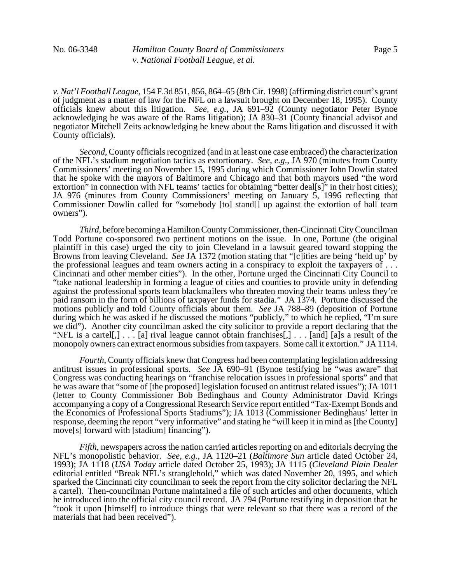*v. Nat'l Football League*, 154 F.3d 851, 856, 864–65 (8th Cir. 1998) (affirming district court's grant of judgment as a matter of law for the NFL on a lawsuit brought on December 18, 1995). County officials knew about this litigation. *See, e.g.*, JA 691–92 (County negotiator Peter Bynoe acknowledging he was aware of the Rams litigation); JA 830–31 (County financial advisor and negotiator Mitchell Zeits acknowledging he knew about the Rams litigation and discussed it with County officials).

*Second*, County officials recognized (and in at least one case embraced) the characterization of the NFL's stadium negotiation tactics as extortionary. *See, e.g.*, JA 970 (minutes from County Commissioners' meeting on November 15, 1995 during which Commissioner John Dowlin stated that he spoke with the mayors of Baltimore and Chicago and that both mayors used "the word extortion" in connection with NFL teams' tactics for obtaining "better deal[s]" in their host cities); JA 976 (minutes from County Commissioners' meeting on January 5, 1996 reflecting that Commissioner Dowlin called for "somebody [to] stand[] up against the extortion of ball team owners").

*Third*, before becoming a Hamilton County Commissioner, then-Cincinnati City Councilman Todd Portune co-sponsored two pertinent motions on the issue. In one, Portune (the original plaintiff in this case) urged the city to join Cleveland in a lawsuit geared toward stopping the Browns from leaving Cleveland. *See* JA 1372 (motion stating that "[c]ities are being 'held up' by the professional leagues and team owners acting in a conspiracy to exploit the taxpayers of . . . Cincinnati and other member cities"). In the other, Portune urged the Cincinnati City Council to "take national leadership in forming a league of cities and counties to provide unity in defending against the professional sports team blackmailers who threaten moving their teams unless they're paid ransom in the form of billions of taxpayer funds for stadia." JA 1374. Portune discussed the motions publicly and told County officials about them. *See* JA 788–89 (deposition of Portune during which he was asked if he discussed the motions "publicly," to which he replied, "I'm sure we did"). Another city councilman asked the city solicitor to provide a report declaring that the "NFL is a cartel[,]  $\ldots$  [a] rival league cannot obtain franchises[,]  $\ldots$  [and] [a]s a result of the monopoly owners can extract enormous subsidies from taxpayers. Some call it extortion." JA 1114.

*Fourth*, County officials knew that Congress had been contemplating legislation addressing antitrust issues in professional sports. *See* JA 690–91 (Bynoe testifying he "was aware" that Congress was conducting hearings on "franchise relocation issues in professional sports" and that he was aware that "some of [the proposed] legislation focused on antitrust related issues"); JA 1011 (letter to County Commissioner Bob Bedinghaus and County Administrator David Krings accompanying a copy of a Congressional Research Service report entitled "Tax-Exempt Bonds and the Economics of Professional Sports Stadiums"); JA 1013 (Commissioner Bedinghaus' letter in response, deeming the report "very informative" and stating he "will keep it in mind as [the County] move[s] forward with [stadium] financing").

*Fifth*, newspapers across the nation carried articles reporting on and editorials decrying the NFL's monopolistic behavior. *See, e.g.*, JA 1120–21 (*Baltimore Sun* article dated October 24, 1993); JA 1118 (*USA Today* article dated October 25, 1993); JA 1115 (*Cleveland Plain Dealer* editorial entitled "Break NFL's stranglehold," which was dated November 20, 1995, and which sparked the Cincinnati city councilman to seek the report from the city solicitor declaring the NFL a cartel). Then-councilman Portune maintained a file of such articles and other documents, which he introduced into the official city council record.JA 794 (Portune testifying in deposition that he "took it upon [himself] to introduce things that were relevant so that there was a record of the materials that had been received").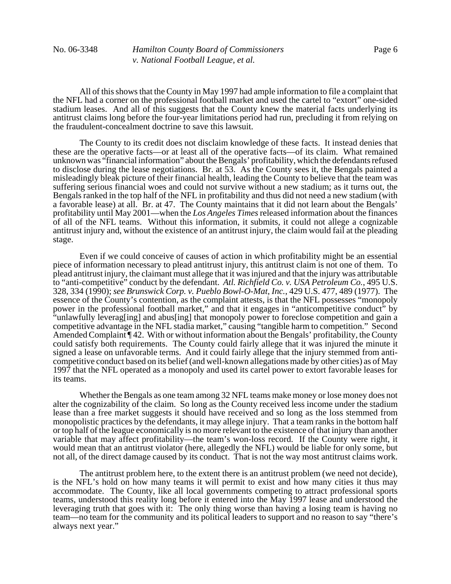All of this shows that the County in May 1997 had ample information to file a complaint that the NFL had a corner on the professional football market and used the cartel to "extort" one-sided stadium leases. And all of this suggests that the County knew the material facts underlying its antitrust claims long before the four-year limitations period had run, precluding it from relying on the fraudulent-concealment doctrine to save this lawsuit.

The County to its credit does not disclaim knowledge of these facts. It instead denies that these are the operative facts—or at least all of the operative facts—of its claim. What remained unknown was "financial information" about the Bengals' profitability, which the defendants refused to disclose during the lease negotiations. Br. at 53. As the County sees it, the Bengals painted a misleadingly bleak picture of their financial health, leading the County to believe that the team was suffering serious financial woes and could not survive without a new stadium; as it turns out, the Bengals ranked in the top half of the NFL in profitability and thus did not need a new stadium (with a favorable lease) at all. Br. at 47. The County maintains that it did not learn about the Bengals' profitability until May 2001—when the *Los Angeles Times* released information about the finances of all of the NFL teams. Without this information, it submits, it could not allege a cognizable antitrust injury and, without the existence of an antitrust injury, the claim would fail at the pleading stage.

Even if we could conceive of causes of action in which profitability might be an essential piece of information necessary to plead antitrust injury, this antitrust claim is not one of them. To plead antitrust injury, the claimant must allege that it was injured and that the injury was attributable to "anti-competitive" conduct by the defendant. *Atl. Richfield Co. v. USA Petroleum Co.*, 495 U.S. 328, 334 (1990); *see Brunswick Corp. v. Pueblo Bowl-O-Mat, Inc.*, 429 U.S. 477, 489 (1977). The essence of the County's contention, as the complaint attests, is that the NFL possesses "monopoly power in the professional football market," and that it engages in "anticompetitive conduct" by "unlawfully leverag[ing] and abus[ing] that monopoly power to foreclose competition and gain a competitive advantage in the NFL stadia market," causing "tangible harm to competition." Second Amended Complaint  $\P$ 42. With or without information about the Bengals' profitability, the County could satisfy both requirements. The County could fairly allege that it was injured the minute it signed a lease on unfavorable terms. And it could fairly allege that the injury stemmed from anticompetitive conduct based on its belief (and well-known allegations made by other cities) as of May 1997 that the NFL operated as a monopoly and used its cartel power to extort favorable leases for its teams.

Whether the Bengals as one team among 32 NFL teams make money or lose money does not alter the cognizability of the claim. So long as the County received less income under the stadium lease than a free market suggests it should have received and so long as the loss stemmed from monopolistic practices by the defendants, it may allege injury. That a team ranks in the bottom half or top half of the league economically is no more relevant to the existence of that injury than another variable that may affect profitability—the team's won-loss record. If the County were right, it would mean that an antitrust violator (here, allegedly the NFL) would be liable for only some, but not all, of the direct damage caused by its conduct. That is not the way most antitrust claims work.

The antitrust problem here, to the extent there is an antitrust problem (we need not decide), is the NFL's hold on how many teams it will permit to exist and how many cities it thus may accommodate. The County, like all local governments competing to attract professional sports teams, understood this reality long before it entered into the May 1997 lease and understood the leveraging truth that goes with it: The only thing worse than having a losing team is having no team—no team for the community and its political leaders to support and no reason to say "there's always next year."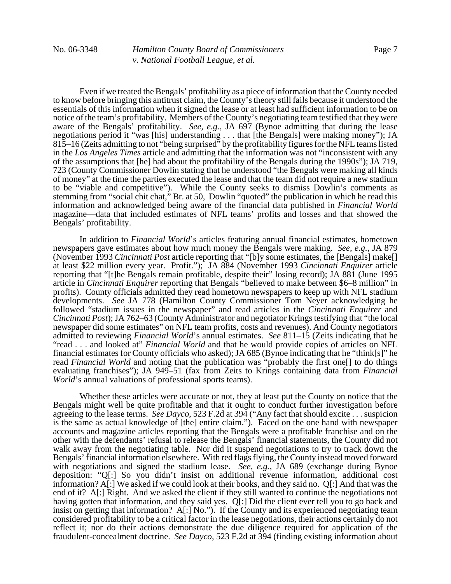Even if we treated the Bengals' profitability as a piece of information that the County needed to know before bringing this antitrust claim, the County's theory still fails because it understood the essentials of this information when it signed the lease or at least had sufficient information to be on notice of the team's profitability. Members of the County's negotiating team testified that they were aware of the Bengals' profitability. *See, e.g.*, JA 697 (Bynoe admitting that during the lease negotiations period it "was [his] understanding . . . that [the Bengals] were making money"); JA 815–16 (Zeits admitting to not "being surprised" by the profitability figures for the NFL teams listed in the *Los Angeles Times* article and admitting that the information was not "inconsistent with any of the assumptions that [he] had about the profitability of the Bengals during the 1990s"); JA 719, 723 (County Commissioner Dowlin stating that he understood "the Bengals were making all kinds of money" at the time the parties executed the lease and that the team did not require a new stadium to be "viable and competitive"). While the County seeks to dismiss Dowlin's comments as stemming from "social chit chat," Br. at 50, Dowlin "quoted" the publication in which he read this information and acknowledged being aware of the financial data published in *Financial World* magazine—data that included estimates of NFL teams' profits and losses and that showed the Bengals' profitability.

In addition to *Financial World*'s articles featuring annual financial estimates, hometown newspapers gave estimates about how much money the Bengals were making. *See, e.g.*, JA 879 (November 1993 *Cincinnati Post* article reporting that "[b]y some estimates, the [Bengals] make[] at least \$22 million every year. Profit."); JA 884 (November 1993 *Cincinnati Enquirer* article reporting that "[t]he Bengals remain profitable, despite their" losing record); JA 881 (June 1995 article in *Cincinnati Enquirer* reporting that Bengals "believed to make between \$6–8 million" in profits). County officials admitted they read hometown newspapers to keep up with NFL stadium developments. *See* JA 778 (Hamilton County Commissioner Tom Neyer acknowledging he followed "stadium issues in the newspaper" and read articles in the *Cincinnati Enquirer* and *Cincinnati Post*); JA 762–63 (County Administrator and negotiator Krings testifying that "the local newspaper did some estimates" on NFL team profits, costs and revenues). And County negotiators admitted to reviewing *Financial World*'s annual estimates. *See* 811–15 (Zeits indicating that he "read . . . and looked at" *Financial World* and that he would provide copies of articles on NFL financial estimates for County officials who asked); JA 685 (Bynoe indicating that he "think[s]" he read *Financial World* and noting that the publication was "probably the first one[] to do things evaluating franchises"); JA 949–51 (fax from Zeits to Krings containing data from *Financial World*'s annual valuations of professional sports teams).

Whether these articles were accurate or not, they at least put the County on notice that the Bengals might well be quite profitable and that it ought to conduct further investigation before agreeing to the lease terms. *See Dayco*, 523 F.2d at 394 ("Any fact that should excite . . . suspicion is the same as actual knowledge of [the] entire claim."). Faced on the one hand with newspaper accounts and magazine articles reporting that the Bengals were a profitable franchise and on the other with the defendants' refusal to release the Bengals' financial statements, the County did not walk away from the negotiating table. Nor did it suspend negotiations to try to track down the Bengals' financial information elsewhere. With red flags flying, the County instead moved forward with negotiations and signed the stadium lease. *See, e.g.*, JA 689 (exchange during Bynoe deposition: "Q[:] So you didn't insist on additional revenue information, additional cost information? A[:] We asked if we could look at their books, and they said no. Q[:] And that was the end of it? A[:] Right. And we asked the client if they still wanted to continue the negotiations not having gotten that information, and they said yes. Q[:] Did the client ever tell you to go back and insist on getting that information? A[:] No."). If the County and its experienced negotiating team considered profitability to be a critical factor in the lease negotiations, their actions certainly do not reflect it; nor do their actions demonstrate the due diligence required for application of the fraudulent-concealment doctrine. *See Dayco*, 523 F.2d at 394 (finding existing information about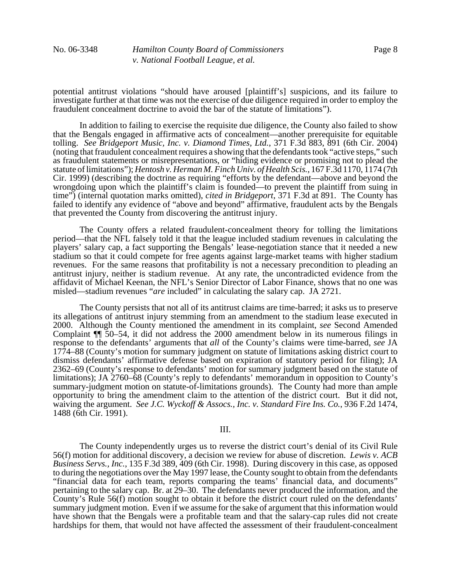potential antitrust violations "should have aroused [plaintiff's] suspicions, and its failure to investigate further at that time was not the exercise of due diligence required in order to employ the fraudulent concealment doctrine to avoid the bar of the statute of limitations").

In addition to failing to exercise the requisite due diligence, the County also failed to show that the Bengals engaged in affirmative acts of concealment—another prerequisite for equitable tolling. *See Bridgeport Music, Inc. v. Diamond Times, Ltd.*, 371 F.3d 883, 891 (6th Cir. 2004) (noting that fraudulent concealment requires a showing that the defendants took "active steps," such as fraudulent statements or misrepresentations, or "hiding evidence or promising not to plead the statute of limitations"); *Hentosh v. Herman M. Finch Univ. of Health Scis.*, 167 F.3d 1170, 1174 (7th Cir. 1999) (describing the doctrine as requiring "efforts by the defendant—above and beyond the wrongdoing upon which the plaintiff's claim is founded—to prevent the plaintiff from suing in time") (internal quotation marks omitted), *cited in Bridgeport*, 371 F.3d at 891. The County has failed to identify any evidence of "above and beyond" affirmative, fraudulent acts by the Bengals that prevented the County from discovering the antitrust injury.

The County offers a related fraudulent-concealment theory for tolling the limitations period—that the NFL falsely told it that the league included stadium revenues in calculating the players' salary cap, a fact supporting the Bengals' lease-negotiation stance that it needed a new stadium so that it could compete for free agents against large-market teams with higher stadium revenues. For the same reasons that profitability is not a necessary precondition to pleading an antitrust injury, neither is stadium revenue. At any rate, the uncontradicted evidence from the affidavit of Michael Keenan, the NFL's Senior Director of Labor Finance, shows that no one was misled—stadium revenues "*are* included" in calculating the salary cap. JA 2721.

The County persists that not all of its antitrust claims are time-barred; it asks us to preserve its allegations of antitrust injury stemming from an amendment to the stadium lease executed in 2000. Although the County mentioned the amendment in its complaint, *see* Second Amended Complaint ¶¶ 50–54, it did not address the 2000 amendment below in its numerous filings in response to the defendants' arguments that *all* of the County's claims were time-barred, *see* JA 1774–88 (County's motion for summary judgment on statute of limitations asking district court to dismiss defendants' affirmative defense based on expiration of statutory period for filing); JA 2362–69 (County's response to defendants' motion for summary judgment based on the statute of limitations); JA 2760–68 (County's reply to defendants' memorandum in opposition to County's summary-judgment motion on statute-of-limitations grounds). The County had more than ample opportunity to bring the amendment claim to the attention of the district court. But it did not, waiving the argument. *See J.C. Wyckoff & Assocs., Inc. v. Standard Fire Ins. Co.*, 936 F.2d 1474, 1488 (6th Cir. 1991).

# III.

The County independently urges us to reverse the district court's denial of its Civil Rule 56(f) motion for additional discovery, a decision we review for abuse of discretion. *Lewis v. ACB Business Servs., Inc.*, 135 F.3d 389, 409 (6th Cir. 1998). During discovery in this case, as opposed to during the negotiations over the May 1997 lease, the County sought to obtain from the defendants "financial data for each team, reports comparing the teams' financial data, and documents" pertaining to the salary cap. Br. at 29–30. The defendants never produced the information, and the County's Rule 56(f) motion sought to obtain it before the district court ruled on the defendants' summary judgment motion. Even if we assume for the sake of argument that this information would have shown that the Bengals were a profitable team and that the salary-cap rules did not create hardships for them, that would not have affected the assessment of their fraudulent-concealment